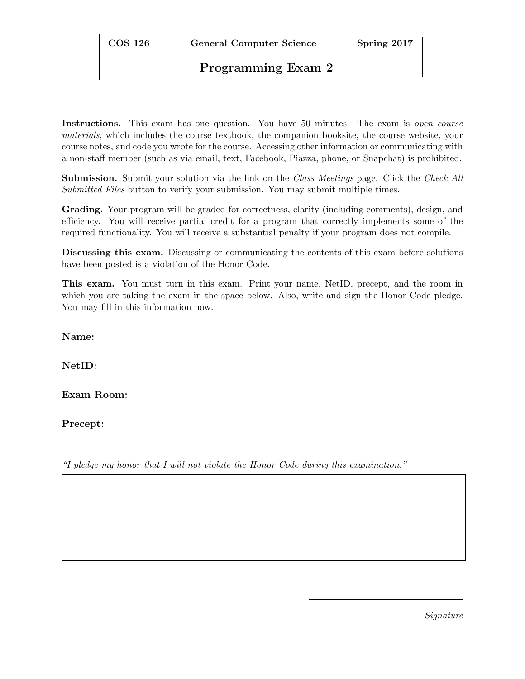COS 126 General Computer Science Spring 2017

## Programming Exam 2

Instructions. This exam has one question. You have 50 minutes. The exam is *open course* materials, which includes the course textbook, the companion booksite, the course website, your course notes, and code you wrote for the course. Accessing other information or communicating with a non-staff member (such as via email, text, Facebook, Piazza, phone, or Snapchat) is prohibited.

**Submission.** Submit your solution via the link on the *Class Meetings* page. Click the *Check All* Submitted Files button to verify your submission. You may submit multiple times.

Grading. Your program will be graded for correctness, clarity (including comments), design, and efficiency. You will receive partial credit for a program that correctly implements some of the required functionality. You will receive a substantial penalty if your program does not compile.

Discussing this exam. Discussing or communicating the contents of this exam before solutions have been posted is a violation of the Honor Code.

This exam. You must turn in this exam. Print your name, NetID, precept, and the room in which you are taking the exam in the space below. Also, write and sign the Honor Code pledge. You may fill in this information now.

Name:

NetID:

Exam Room:

Precept:

"I pledge my honor that I will not violate the Honor Code during this examination."

Signature